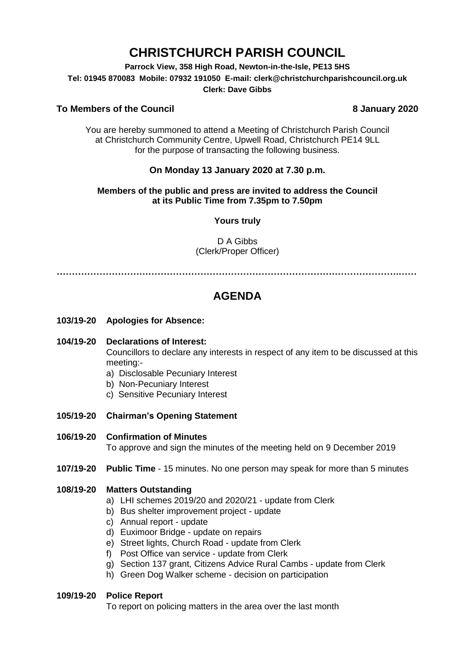# **CHRISTCHURCH PARISH COUNCIL**

**Parrock View, 358 High Road, Newton-in-the-Isle, PE13 5HS**

**Tel: 01945 870083 Mobile: 07932 191050 E-mail: clerk@christchurchparishcouncil.org.uk**

#### **Clerk: Dave Gibbs**

# **To Members of the Council 8 January 2020**

You are hereby summoned to attend a Meeting of Christchurch Parish Council at Christchurch Community Centre, Upwell Road, Christchurch PE14 9LL for the purpose of transacting the following business.

# **On Monday 13 January 2020 at 7.30 p.m.**

# **Members of the public and press are invited to address the Council at its Public Time from 7.35pm to 7.50pm**

# **Yours truly**

D A Gibbs (Clerk/Proper Officer)

**………………………………………………………………………………………………….……**

# **AGENDA**

- **103/19-20 Apologies for Absence:**
- **104/19-20 Declarations of Interest:**

Councillors to declare any interests in respect of any item to be discussed at this meeting:-

- a) Disclosable Pecuniary Interest
- b) Non-Pecuniary Interest
- c) Sensitive Pecuniary Interest
- **105/19-20 Chairman's Opening Statement**
- **106/19-20 Confirmation of Minutes**

To approve and sign the minutes of the meeting held on 9 December 2019

**107/19-20 Public Time** - 15 minutes. No one person may speak for more than 5 minutes

## **108/19-20 Matters Outstanding**

- a) LHI schemes 2019/20 and 2020/21 update from Clerk
- b) Bus shelter improvement project update
- c) Annual report update
- d) Euximoor Bridge update on repairs
- e) Street lights, Church Road update from Clerk
- f) Post Office van service update from Clerk
- g) Section 137 grant, Citizens Advice Rural Cambs update from Clerk
- h) Green Dog Walker scheme decision on participation

# **109/19-20 Police Report**

To report on policing matters in the area over the last month